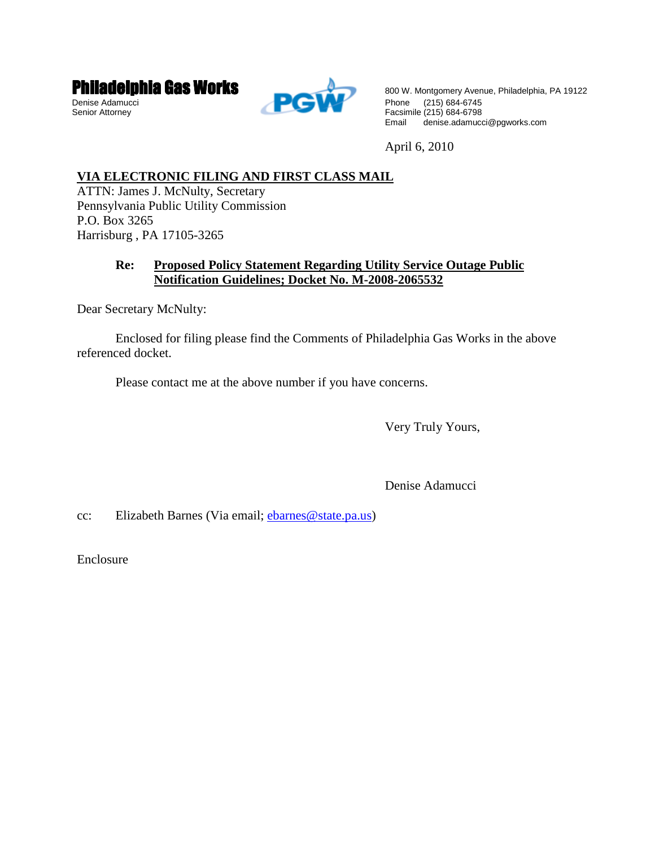



**Philadelphia Gas Works** Boo W. Montgomery Avenue, Philadelphia, PA 19122 Email denise.adamucci@pgworks.com

April 6, 2010

# **VIA ELECTRONIC FILING AND FIRST CLASS MAIL**

ATTN: James J. McNulty, Secretary Pennsylvania Public Utility Commission P.O. Box 3265 Harrisburg , PA 17105-3265

# **Re: Proposed Policy Statement Regarding Utility Service Outage Public Notification Guidelines; Docket No. M-2008-2065532**

Dear Secretary McNulty:

 Enclosed for filing please find the Comments of Philadelphia Gas Works in the above referenced docket.

Please contact me at the above number if you have concerns.

Very Truly Yours,

Denise Adamucci

cc: Elizabeth Barnes (Via email; ebarnes@state.pa.us)

Enclosure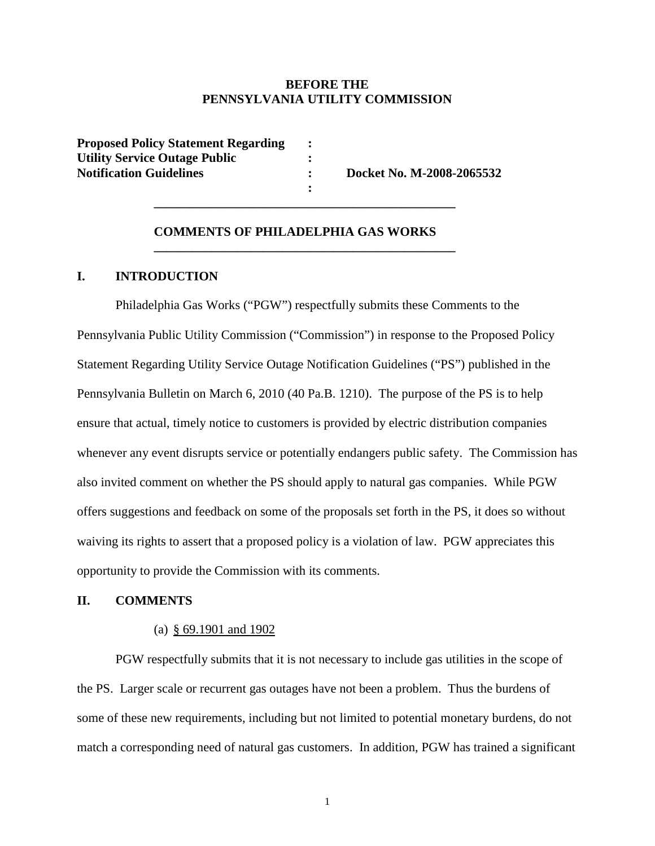# **BEFORE THE PENNSYLVANIA UTILITY COMMISSION**

| <b>Proposed Policy Statement Regarding</b> |  |
|--------------------------------------------|--|
| <b>Utility Service Outage Public</b>       |  |
| <b>Notification Guidelines</b>             |  |
|                                            |  |

**No. M-2008-2065532** 

#### **COMMENTS OF PHILADELPHIA GAS WORKS**

 **\_\_\_\_\_\_\_\_\_\_\_\_\_\_\_\_\_\_\_\_\_\_\_\_\_\_\_\_\_\_\_\_\_\_\_\_\_\_\_\_\_\_\_\_\_\_\_** 

 **\_\_\_\_\_\_\_\_\_\_\_\_\_\_\_\_\_\_\_\_\_\_\_\_\_\_\_\_\_\_\_\_\_\_\_\_\_\_\_\_\_\_\_\_\_\_\_** 

### **I. INTRODUCTION**

Philadelphia Gas Works ("PGW") respectfully submits these Comments to the Pennsylvania Public Utility Commission ("Commission") in response to the Proposed Policy Statement Regarding Utility Service Outage Notification Guidelines ("PS") published in the Pennsylvania Bulletin on March 6, 2010 (40 Pa.B. 1210). The purpose of the PS is to help ensure that actual, timely notice to customers is provided by electric distribution companies whenever any event disrupts service or potentially endangers public safety. The Commission has also invited comment on whether the PS should apply to natural gas companies. While PGW offers suggestions and feedback on some of the proposals set forth in the PS, it does so without waiving its rights to assert that a proposed policy is a violation of law. PGW appreciates this opportunity to provide the Commission with its comments.

# **II. COMMENTS**

#### (a) § 69.1901 and 1902

PGW respectfully submits that it is not necessary to include gas utilities in the scope of the PS. Larger scale or recurrent gas outages have not been a problem. Thus the burdens of some of these new requirements, including but not limited to potential monetary burdens, do not match a corresponding need of natural gas customers. In addition, PGW has trained a significant

1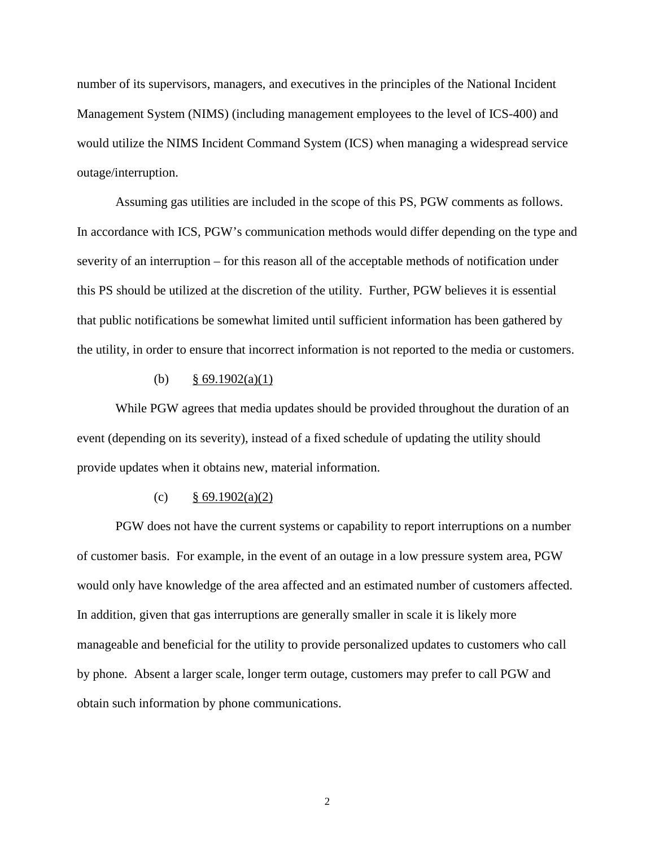number of its supervisors, managers, and executives in the principles of the National Incident Management System (NIMS) (including management employees to the level of ICS-400) and would utilize the NIMS Incident Command System (ICS) when managing a widespread service outage/interruption.

Assuming gas utilities are included in the scope of this PS, PGW comments as follows. In accordance with ICS, PGW's communication methods would differ depending on the type and severity of an interruption – for this reason all of the acceptable methods of notification under this PS should be utilized at the discretion of the utility. Further, PGW believes it is essential that public notifications be somewhat limited until sufficient information has been gathered by the utility, in order to ensure that incorrect information is not reported to the media or customers.

#### (b)  $§ 69.1902(a)(1)$

While PGW agrees that media updates should be provided throughout the duration of an event (depending on its severity), instead of a fixed schedule of updating the utility should provide updates when it obtains new, material information.

### (c)  $\frac{8}{9.1902(a)(2)}$

PGW does not have the current systems or capability to report interruptions on a number of customer basis. For example, in the event of an outage in a low pressure system area, PGW would only have knowledge of the area affected and an estimated number of customers affected. In addition, given that gas interruptions are generally smaller in scale it is likely more manageable and beneficial for the utility to provide personalized updates to customers who call by phone. Absent a larger scale, longer term outage, customers may prefer to call PGW and obtain such information by phone communications.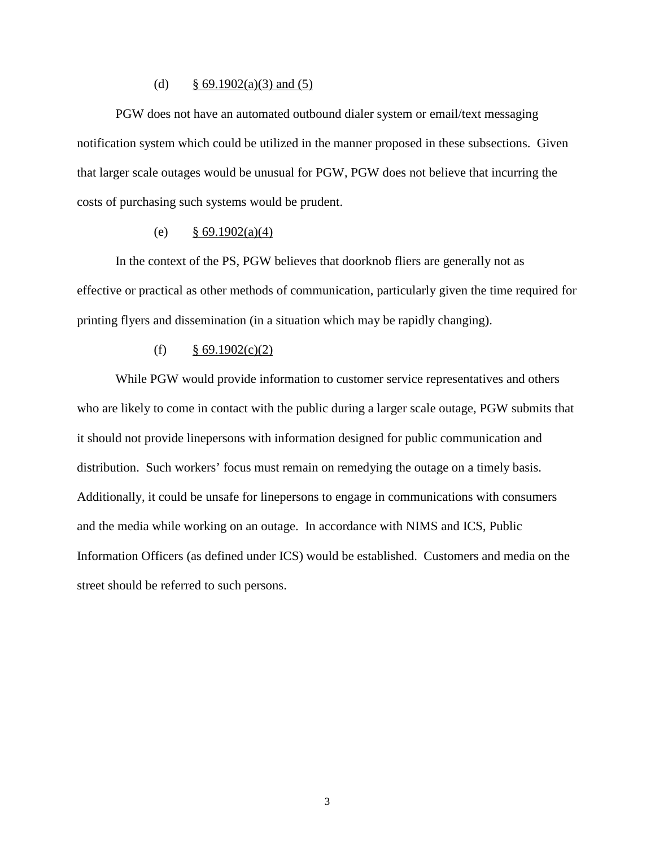#### (d)  $§ 69.1902(a)(3)$  and (5)

PGW does not have an automated outbound dialer system or email/text messaging notification system which could be utilized in the manner proposed in these subsections. Given that larger scale outages would be unusual for PGW, PGW does not believe that incurring the costs of purchasing such systems would be prudent.

#### (e)  $\frac{8}{9}$  69.1902(a)(4)

In the context of the PS, PGW believes that doorknob fliers are generally not as effective or practical as other methods of communication, particularly given the time required for printing flyers and dissemination (in a situation which may be rapidly changing).

#### (f)  $§ 69.1902(c)(2)$

While PGW would provide information to customer service representatives and others who are likely to come in contact with the public during a larger scale outage, PGW submits that it should not provide linepersons with information designed for public communication and distribution. Such workers' focus must remain on remedying the outage on a timely basis. Additionally, it could be unsafe for linepersons to engage in communications with consumers and the media while working on an outage. In accordance with NIMS and ICS, Public Information Officers (as defined under ICS) would be established. Customers and media on the street should be referred to such persons.

3